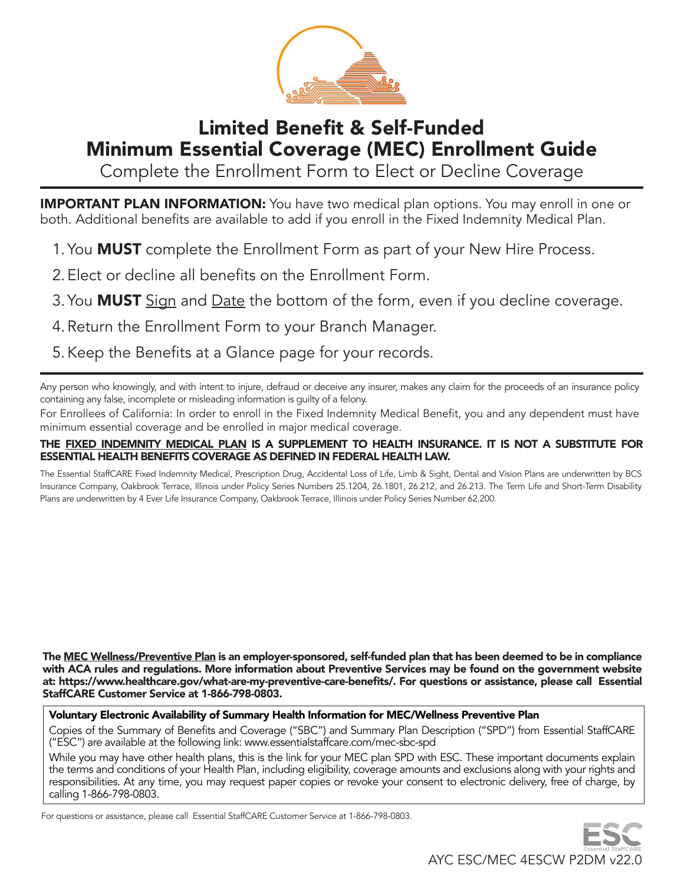

# Limited Benefit & Self-Funded Minimum Essential Coverage (MEC) Enrollment Guide

Complete the Enrollment Form to Elect or Decline Coverage

**IMPORTANT PLAN INFORMATION:** You have two medical plan options. You may enroll in one or both. Additional benefits are available to add if you enroll in the Fixed Indemnity Medical Plan.

- 1. You **MUST** complete the Enrollment Form as part of your New Hire Process.
- 2. Elect or decline all benefits on the Enrollment Form.
- 3. You **MUST** Sign and Date the bottom of the form, even if you decline coverage.
- 4. Return the Enrollment Form to your Branch Manager.
- 5. Keep the Benefits at a Glance page for your records.

Any person who knowingly, and with intent to injure, defraud or deceive any insurer, makes any claim for the proceeds of an insurance policy containing any false, incomplete or misleading information is guilty of a felony.

For Enrollees of California: In order to enroll in the Fixed Indemnity Medical Benefit, you and any dependent must have minimum essential coverage and be enrolled in major medical coverage.

### THE FIXED INDEMNITY MEDICAL PLAN IS A SUPPLEMENT TO HEALTH INSURANCE. IT IS NOT A SUBSTITUTE FOR ESSENTIAL HEALTH BENEFITS COVERAGE AS DEFINED IN FEDERAL HEALTH LAW.

The Essential StaffCARE Fixed Indemnity Medical, Prescription Drug, Accidental Loss of Life, Limb & Sight, Dental and Vision Plans are underwritten by BCS Insurance Company, Oakbrook Terrace, Illinois under Policy Series Numbers 25.1204, 26.1801, 26.212, and 26.213. The Term Life and Short-Term Disability Plans are underwritten by 4 Ever Life Insurance Company, Oakbrook Terrace, Illinois under Policy Series Number 62.200.

The MEC Wellness/Preventive Plan is an employer-sponsored, self-funded plan that has been deemed to be in compliance with ACA rules and regulations. More information about Preventive Services may be found on the government website at: https://www.healthcare.gov/what-are-my-preventive-care-benefits/. For questions or assistance, please call Essential StaffCARE Customer Service at 1-866-798-0803.

# Voluntary Electronic Availability of Summary Health Information for MEC/Wellness Preventive Plan

Copies of the Summary of Benefits and Coverage ("SBC") and Summary Plan Description ("SPD") from Essential StaffCARE ("ESC") are available at the following link: www.essentialstaffcare.com/mec-sbc-spd

While you may have other health plans, this is the link for your MEC plan SPD with ESC. These important documents explain the terms and conditions of your Health Plan, including eligibility, coverage amounts and exclusions along with your rights and responsibilities. At any time, you may request paper copies or revoke your consent to electronic delivery, free of charge, by calling 1-866-798-0803.

For questions or assistance, please call Essential StaffCARE Customer Service at 1-866-798-0803.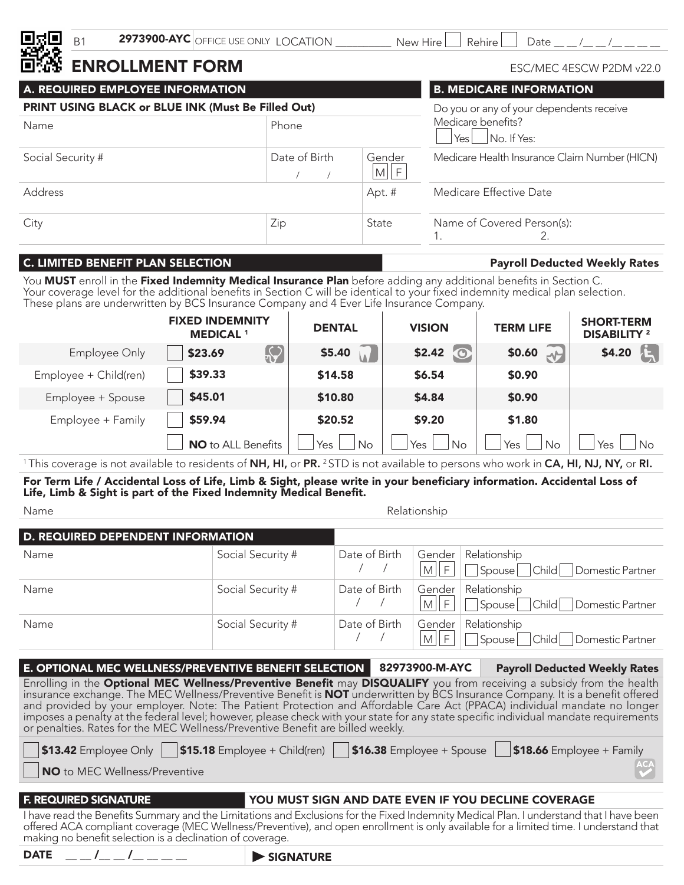

# ENROLLMENT FORM

| A. REQUIRED EMPLOYEE INFORMATION                   |     | <b>B. MEDICARE INFORMATION</b>           |                                               |  |  |
|----------------------------------------------------|-----|------------------------------------------|-----------------------------------------------|--|--|
| PRINT USING BLACK or BLUE INK (Must Be Filled Out) |     | Do you or any of your dependents receive |                                               |  |  |
| Phone<br>Name                                      |     |                                          | Medicare benefits?<br>Yes   No. If Yes:       |  |  |
| Date of Birth<br>Social Security #                 |     | Gender<br>M  F                           | Medicare Health Insurance Claim Number (HICN) |  |  |
| Address                                            |     | Apt. #                                   | Medicare Effective Date                       |  |  |
| City                                               | Zip | State                                    | Name of Covered Person(s):                    |  |  |

# C. LIMITED BENEFIT PLAN SELECTION **Payroll Deducted Weekly Rates**

ESC/MEC 4ESCW P2DM v22.0

You MUST enroll in the Fixed Indemnity Medical Insurance Plan before adding any additional benefits in Section C. Your coverage level for the additional benefits in Section C will be identical to your fixed indemnity medical plan selection. These plans are underwritten by BCS Insurance Company and 4 Ever Life Insurance Company.

|                       | <b>FIXED INDEMNITY</b><br><b>MEDICAL 1</b> | <b>DENTAL</b>          | <b>VISION</b>       | <b>TERM LIFE</b>  | <b>SHORT-TERM</b><br><b>DISABILITY 2</b> |
|-----------------------|--------------------------------------------|------------------------|---------------------|-------------------|------------------------------------------|
| Employee Only         | $\left[\bigvee\right]$<br>\$23.69          | \$5.40<br>$\mathbf{A}$ | \$2.42<br>$\bullet$ | \$0.60 $\sqrt{ }$ | $\mathbf{F}$<br>\$4.20                   |
| Employee + Child(ren) | \$39.33                                    | \$14.58                | \$6.54              | \$0.90            |                                          |
| Employee + Spouse     | \$45.01                                    | \$10.80                | \$4.84              | \$0.90            |                                          |
| Employee + Family     | \$59.94                                    | \$20.52                | \$9.20              | \$1.80            |                                          |
|                       | <b>NO</b> to ALL Benefits                  | Yes<br>No              | Yes<br>No           | Yes<br>No         | Yes<br><b>No</b>                         |

<sup>1</sup>This coverage is not available to residents of NH, HI, or PR. <sup>2</sup>STD is not available to persons who work in CA, HI, NJ, NY, or RI.

For Term Life / Accidental Loss of Life, Limb & Sight, please write in your beneficiary information. Accidental Loss of Life, Limb & Sight is part of the Fixed Indemnity Medical Benefit.

Name Relationship

| D. REQUIRED DEPENDENT INFORMATION |                   |               |      |                                                                       |
|-----------------------------------|-------------------|---------------|------|-----------------------------------------------------------------------|
| Name                              | Social Security # | Date of Birth | M  F | Gender   Relationship<br>Spouse <sup>nchild</sup><br>Domestic Partner |
| Name                              | Social Security # | Date of Birth | M    | Gender Relationship<br>Spouse Child Domestic Partner                  |
| Name                              | Social Security # | Date of Birth | M    | Gender   Relationship<br>Spouse Child Domestic Partner                |

| E. OPTIONAL MEC WELLNESS/PREVENTIVE BENEFIT SELECTION   82973900-M-AYC                                                                                                                                                                                                                                                                                                                                                                                                                                                                                                                                              |  | <b>Payroll Deducted Weekly Rates</b>                |
|---------------------------------------------------------------------------------------------------------------------------------------------------------------------------------------------------------------------------------------------------------------------------------------------------------------------------------------------------------------------------------------------------------------------------------------------------------------------------------------------------------------------------------------------------------------------------------------------------------------------|--|-----------------------------------------------------|
| Enrolling in the Optional MEC Wellness/Preventive Benefit may DISQUALIFY you from receiving a subsidy from the health<br>insurance exchange. The MEC Wellness/Preventive Benefit is <b>NOT</b> underwritten by BCS Insurance Company. It is a benefit offered<br>and provided by your employer. Note: The Patient Protection and Affordable Care Act (PPACA) individual mandate no longer<br>imposes a penalty at the federal level; however, please check with your state for any state specific individual mandate requirements<br>or penalties. Rates for the MEC Wellness/Preventive Benefit are billed weekly. |  |                                                     |
| <b>S13.42</b> Employee Only   \$15.18 Employee + Child(ren)   \$16.38 Employee + Spouse   \$18.66 Employee + Family<br>NO to MEC Wellness/Preventive                                                                                                                                                                                                                                                                                                                                                                                                                                                                |  |                                                     |
|                                                                                                                                                                                                                                                                                                                                                                                                                                                                                                                                                                                                                     |  |                                                     |
| <b>F. REQUIRED SIGNATURE</b>                                                                                                                                                                                                                                                                                                                                                                                                                                                                                                                                                                                        |  | YOU MUST SIGN AND DATE EVEN IF YOU DECLINE COVERAGE |
| I have read the Benefits Summary and the Limitations and Exclusions for the Fixed Indemnity Medical Plan. I understand that I have been offered ACA compliant coverage (MEC Wellness/Preventive), and open enrollment is only                                                                                                                                                                                                                                                                                                                                                                                       |  |                                                     |
|                                                                                                                                                                                                                                                                                                                                                                                                                                                                                                                                                                                                                     |  |                                                     |

 $\mathcal{U}_ \_\mathcal{I}_ \_\mathcal{I}_ \_\mathcal{I}_ \_\mathcal{I}_ \_\mathcal{I}_-$  signature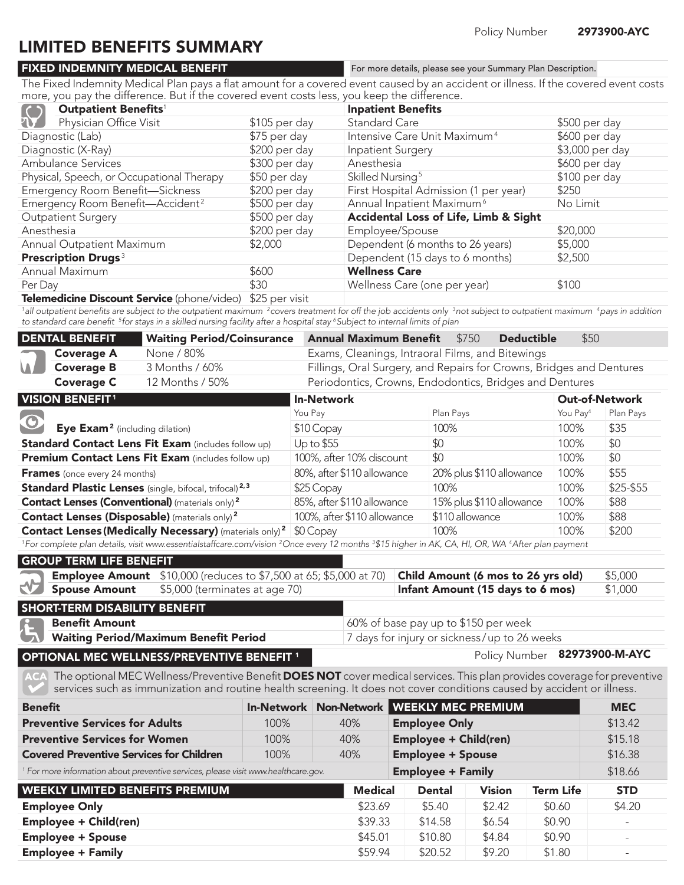Policy Number 82973900-M-AYC

# LIMITED BENEFITS SUMMARY

# FIXED INDEMNITY MEDICAL BENEFIT

For more details, please see your Summary Plan Description.

The Fixed Indemnity Medical Plan pays a flat amount for a covered event caused by an accident or illness. If the covered event costs more, you pay the difference. But if the covered event costs less, you keep the difference.

|            | Outpatient Benefits <sup>1</sup>                                                                                                                                                                                                                |               | <b>Inpatient Benefits</b>                |                 |  |  |  |
|------------|-------------------------------------------------------------------------------------------------------------------------------------------------------------------------------------------------------------------------------------------------|---------------|------------------------------------------|-----------------|--|--|--|
| $\sqrt{2}$ | Physician Office Visit                                                                                                                                                                                                                          | \$105 per day | <b>Standard Care</b>                     | \$500 per day   |  |  |  |
|            | Diagnostic (Lab)                                                                                                                                                                                                                                | \$75 per day  | Intensive Care Unit Maximum <sup>4</sup> | \$600 per day   |  |  |  |
|            | Diagnostic (X-Ray)                                                                                                                                                                                                                              | \$200 per day | <b>Inpatient Surgery</b>                 | \$3,000 per day |  |  |  |
|            | <b>Ambulance Services</b>                                                                                                                                                                                                                       | \$300 per day | Anesthesia                               | \$600 per day   |  |  |  |
|            | Physical, Speech, or Occupational Therapy                                                                                                                                                                                                       | \$50 per day  | Skilled Nursing <sup>5</sup>             | \$100 per day   |  |  |  |
|            | Emergency Room Benefit-Sickness                                                                                                                                                                                                                 | \$200 per day | First Hospital Admission (1 per year)    | \$250           |  |  |  |
|            | Emergency Room Benefit-Accident <sup>2</sup>                                                                                                                                                                                                    | \$500 per day | Annual Inpatient Maximum <sup>6</sup>    | No Limit        |  |  |  |
|            | <b>Outpatient Surgery</b>                                                                                                                                                                                                                       | \$500 per day | Accidental Loss of Life, Limb & Sight    |                 |  |  |  |
| Anesthesia |                                                                                                                                                                                                                                                 | \$200 per day | Employee/Spouse                          | \$20,000        |  |  |  |
|            | Annual Outpatient Maximum                                                                                                                                                                                                                       | \$2,000       | Dependent (6 months to 26 years)         | \$5,000         |  |  |  |
|            | <b>Prescription Drugs<sup>3</sup></b>                                                                                                                                                                                                           |               | Dependent (15 days to 6 months)          | \$2,500         |  |  |  |
|            | Annual Maximum                                                                                                                                                                                                                                  | \$600         | <b>Wellness Care</b>                     |                 |  |  |  |
| Per Day    |                                                                                                                                                                                                                                                 | \$30          | Wellness Care (one per year)             | \$100           |  |  |  |
|            | $\mathbf{F}_{\mathbf{a}}$ and $\mathbf{a}$ and $\mathbf{B}_{\mathbf{a}}$ are sent $\mathbf{F}_{\mathbf{a}}$ and $\mathbf{a}$ and $\mathbf{b}$ and $\mathbf{b}$ and $\mathbf{b}$ $\mathbf{c}$ and $\mathbf{b}$ and $\mathbf{b}$ and $\mathbf{b}$ |               |                                          |                 |  |  |  |

#### **Telemedicine Discount Service** (phone/video)  $$25$  per visit

 $^{\rm 1}$ all outpatient benefits are subject to the outpatient maximum  $^{\rm 2}$ covers treatment for off the job accidents only  $^{\rm 3}$ not subject to outpatient maximum  $^{\rm 4}$ pays in addition to standard care benefit <sup>5</sup> for stays in a skilled nursing facility after a hospital stay <sup>6</sup> Subject to internal limits of plan

| <b>DENTAL BENEFIT</b>    | <b>Waiting Period/Coinsurance</b> | <b>Annual Maximum Benefit</b> \$750<br><b>Deductible</b><br>\$50     |
|--------------------------|-----------------------------------|----------------------------------------------------------------------|
|                          | None / 80%                        | Exams, Cleanings, Intraoral Films, and Bitewings                     |
| Coverage A<br>Coverage B | 3 Months / 60%                    | Fillings, Oral Surgery, and Repairs for Crowns, Bridges and Dentures |
| <b>Coverage C</b>        | 12 Months / 50%                   | Periodontics, Crowns, Endodontics, Bridges and Dentures              |

| <b>VISION BENEFIT<sup>1</sup></b>                                                                                                                                                  | <b>In-Network</b>           |                          |                      | <b>Out-of-Network</b> |  |
|------------------------------------------------------------------------------------------------------------------------------------------------------------------------------------|-----------------------------|--------------------------|----------------------|-----------------------|--|
|                                                                                                                                                                                    | You Pay                     | Plan Pays                | You Pay <sup>4</sup> | Plan Pays             |  |
| $\bullet$<br>Eye Exam <sup>2</sup> (including dilation)                                                                                                                            | \$10 Copay                  | 100%                     | 100%                 | \$35                  |  |
| <b>Standard Contact Lens Fit Exam (includes follow up)</b>                                                                                                                         | Up to \$55                  | \$0                      | 100%                 | \$0                   |  |
| Premium Contact Lens Fit Exam (includes follow up)                                                                                                                                 | 100%, after 10% discount    | \$0                      | 100%                 | \$0                   |  |
| <b>Frames</b> (once every 24 months)                                                                                                                                               | 80%, after \$110 allowance  | 20% plus \$110 allowance | 100%                 | \$55                  |  |
| <b>Standard Plastic Lenses</b> (single, bifocal, trifocal) <sup>2,3</sup>                                                                                                          | \$25 Copay                  | 100%                     | 100%                 | \$25-\$55             |  |
| <b>Contact Lenses (Conventional)</b> (materials only) <sup>2</sup>                                                                                                                 | 85%, after \$110 allowance  | 15% plus \$110 allowance | 100%                 | \$88                  |  |
| <b>Contact Lenses (Disposable)</b> (materials only) <sup>2</sup>                                                                                                                   | 100%, after \$110 allowance | \$110 allowance          | 100%                 | \$88                  |  |
| <b>Contact Lenses (Medically Necessary)</b> (materials only) <sup>2</sup> \$0 Copay                                                                                                |                             | 100%                     | 100%                 | \$200                 |  |
| <sup>1</sup> For complete plan details, visit www.essentialstaffcare.com/vision <sup>2</sup> Once every 12 months <sup>3</sup> \$15 bigber in AK CA, HLOR, WA 4 After plan payment |                             |                          |                      |                       |  |

sentialstaffcare.com/vision "Once every 12 months "\$15 higher in AK, CA, Hi, OR, WA "After plan payment

| <b>GROUP TERM LIFE BENEFIT</b> |                                                                                                                                                                                                             |  |         |
|--------------------------------|-------------------------------------------------------------------------------------------------------------------------------------------------------------------------------------------------------------|--|---------|
|                                | <b>Employee Amount</b> \$10,000 (reduces to \$7,500 at 65; \$5,000 at 70) <b>Child Amount (6 mos to 26 yrs old)</b><br>Spouse Amount \$5,000 (terminates at age 70) <b>Infant Amount (15 days to 6 mos)</b> |  | \$5,000 |
|                                |                                                                                                                                                                                                             |  | \$1,000 |
|                                |                                                                                                                                                                                                             |  |         |

# OPTIONAL MEC WELLNESS/PREVENTIVE BENEFIT<sup>1</sup>

The optional MEC Wellness/Preventive Benefit DOES NOT cover medical services. This plan provides coverage for preventive services such as immunization and routine health screening. It does not cover conditions caused by accident or illness.

| <b>Benefit</b>                                                                                                               | <b>In-Network</b> |         | Non-Network WEEKLY MEC PREMIUM |        |        | <b>MEC</b>               |
|------------------------------------------------------------------------------------------------------------------------------|-------------------|---------|--------------------------------|--------|--------|--------------------------|
| <b>Preventive Services for Adults</b>                                                                                        | 100%              | 40%     | <b>Employee Only</b>           |        |        | \$13.42                  |
| <b>Preventive Services for Women</b>                                                                                         | 100%              | 40%     | <b>Employee + Child(ren)</b>   |        |        | \$15.18                  |
| <b>Covered Preventive Services for Children</b>                                                                              | 100%              | 40%     | <b>Employee + Spouse</b>       |        |        | \$16.38                  |
| <b>Employee + Family</b><br><sup>1</sup> For more information about preventive services, please visit www.healthcare.gov.    |                   |         |                                |        |        | \$18.66                  |
| <b>WEEKLY LIMITED BENEFITS PREMIUM</b><br><b>Medical</b><br><b>Vision</b><br><b>Term Life</b><br><b>STD</b><br><b>Dental</b> |                   |         |                                |        |        |                          |
| <b>Employee Only</b>                                                                                                         |                   | \$23.69 | \$5.40                         | \$2.42 | \$0.60 | \$4.20                   |
| <b>Employee + Child(ren)</b>                                                                                                 |                   | \$39.33 | \$14.58                        | \$6.54 | \$0.90 | $\overline{\phantom{a}}$ |
| <b>Employee + Spouse</b>                                                                                                     |                   | \$45.01 | \$10.80                        | \$4.84 | \$0.90 | -                        |
| <b>Employee + Family</b>                                                                                                     |                   | \$59.94 | \$20.52                        | \$9.20 | \$1.80 |                          |